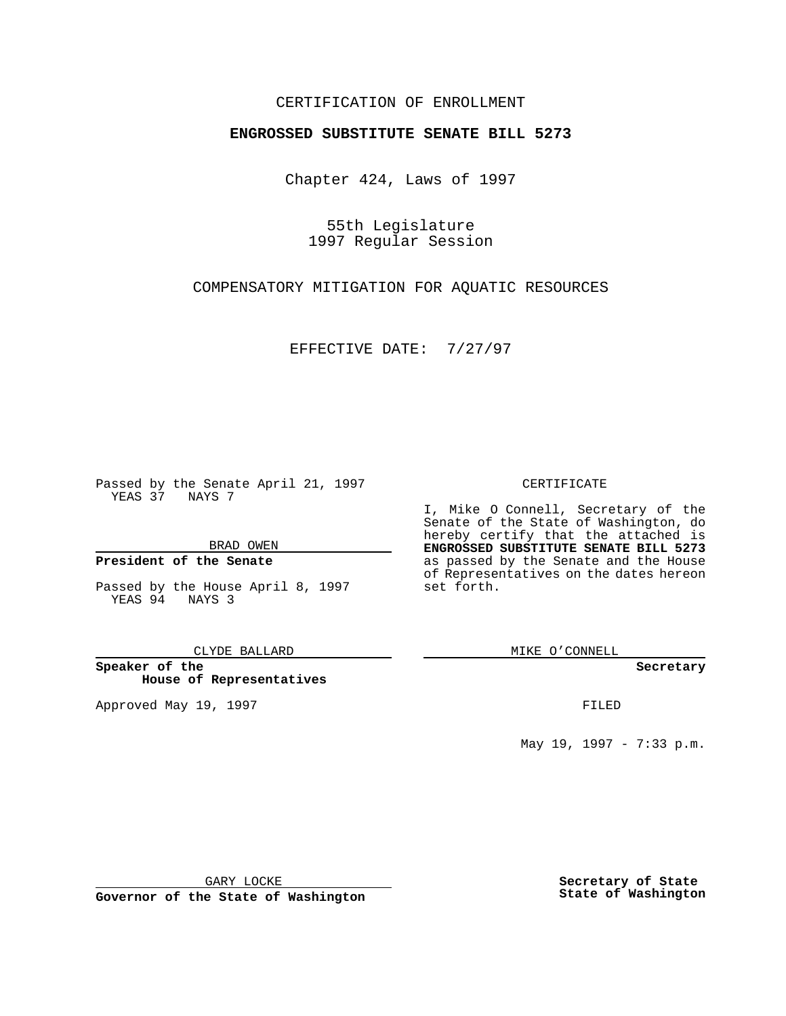### CERTIFICATION OF ENROLLMENT

# **ENGROSSED SUBSTITUTE SENATE BILL 5273**

Chapter 424, Laws of 1997

55th Legislature 1997 Regular Session

COMPENSATORY MITIGATION FOR AQUATIC RESOURCES

EFFECTIVE DATE: 7/27/97

Passed by the Senate April 21, 1997 YEAS 37 NAYS 7

BRAD OWEN

### **President of the Senate**

Passed by the House April 8, 1997 YEAS 94 NAYS 3

CLYDE BALLARD

**Speaker of the House of Representatives**

Approved May 19, 1997 **FILED** 

#### CERTIFICATE

I, Mike O Connell, Secretary of the Senate of the State of Washington, do hereby certify that the attached is **ENGROSSED SUBSTITUTE SENATE BILL 5273** as passed by the Senate and the House of Representatives on the dates hereon set forth.

MIKE O'CONNELL

#### **Secretary**

May 19, 1997 - 7:33 p.m.

GARY LOCKE

**Governor of the State of Washington**

**Secretary of State State of Washington**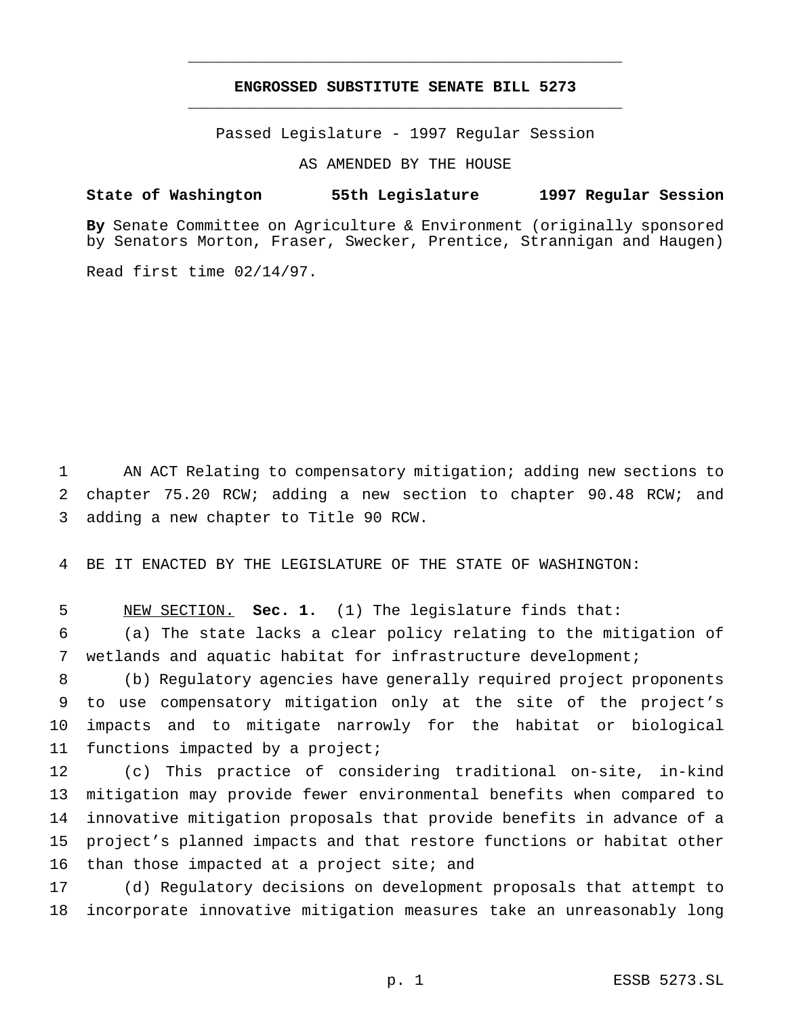## **ENGROSSED SUBSTITUTE SENATE BILL 5273** \_\_\_\_\_\_\_\_\_\_\_\_\_\_\_\_\_\_\_\_\_\_\_\_\_\_\_\_\_\_\_\_\_\_\_\_\_\_\_\_\_\_\_\_\_\_\_

\_\_\_\_\_\_\_\_\_\_\_\_\_\_\_\_\_\_\_\_\_\_\_\_\_\_\_\_\_\_\_\_\_\_\_\_\_\_\_\_\_\_\_\_\_\_\_

Passed Legislature - 1997 Regular Session

AS AMENDED BY THE HOUSE

#### **State of Washington 55th Legislature 1997 Regular Session**

**By** Senate Committee on Agriculture & Environment (originally sponsored by Senators Morton, Fraser, Swecker, Prentice, Strannigan and Haugen)

Read first time 02/14/97.

1 AN ACT Relating to compensatory mitigation; adding new sections to 2 chapter 75.20 RCW; adding a new section to chapter 90.48 RCW; and 3 adding a new chapter to Title 90 RCW.

4 BE IT ENACTED BY THE LEGISLATURE OF THE STATE OF WASHINGTON:

5 NEW SECTION. **Sec. 1.** (1) The legislature finds that:

6 (a) The state lacks a clear policy relating to the mitigation of 7 wetlands and aquatic habitat for infrastructure development;

 (b) Regulatory agencies have generally required project proponents to use compensatory mitigation only at the site of the project's impacts and to mitigate narrowly for the habitat or biological 11 functions impacted by a project;

 (c) This practice of considering traditional on-site, in-kind mitigation may provide fewer environmental benefits when compared to innovative mitigation proposals that provide benefits in advance of a project's planned impacts and that restore functions or habitat other 16 than those impacted at a project site; and

17 (d) Regulatory decisions on development proposals that attempt to 18 incorporate innovative mitigation measures take an unreasonably long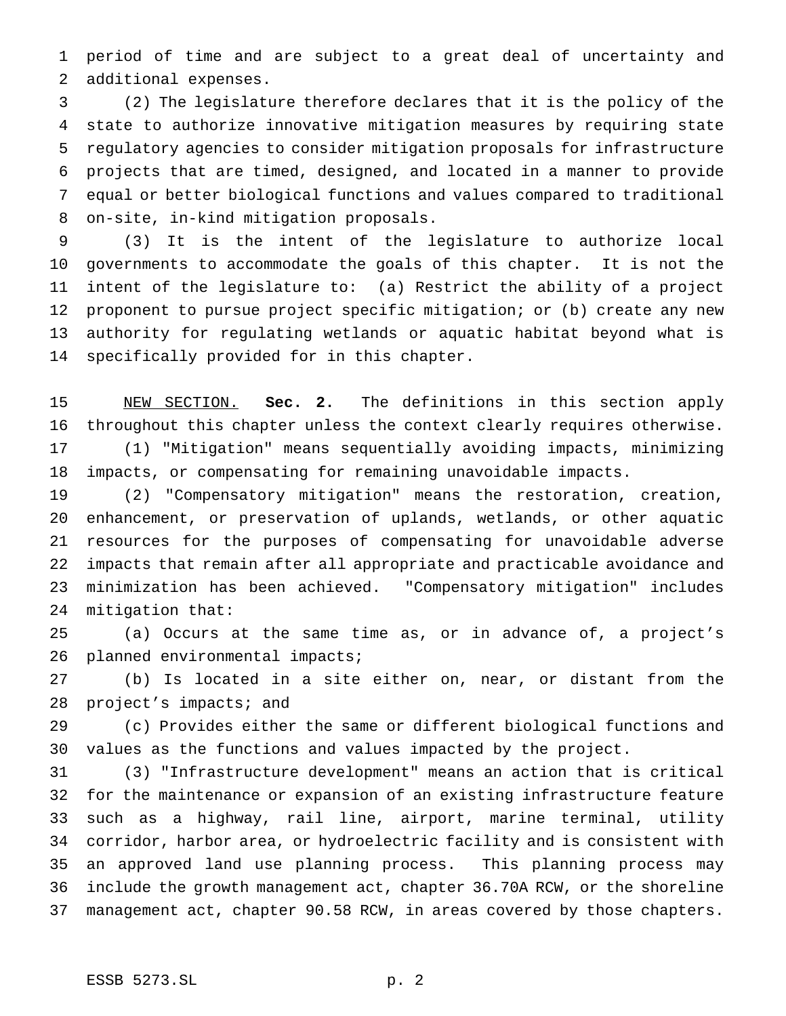period of time and are subject to a great deal of uncertainty and additional expenses.

 (2) The legislature therefore declares that it is the policy of the state to authorize innovative mitigation measures by requiring state regulatory agencies to consider mitigation proposals for infrastructure projects that are timed, designed, and located in a manner to provide equal or better biological functions and values compared to traditional on-site, in-kind mitigation proposals.

 (3) It is the intent of the legislature to authorize local governments to accommodate the goals of this chapter. It is not the intent of the legislature to: (a) Restrict the ability of a project proponent to pursue project specific mitigation; or (b) create any new authority for regulating wetlands or aquatic habitat beyond what is specifically provided for in this chapter.

 NEW SECTION. **Sec. 2.** The definitions in this section apply throughout this chapter unless the context clearly requires otherwise. (1) "Mitigation" means sequentially avoiding impacts, minimizing

impacts, or compensating for remaining unavoidable impacts.

 (2) "Compensatory mitigation" means the restoration, creation, enhancement, or preservation of uplands, wetlands, or other aquatic resources for the purposes of compensating for unavoidable adverse impacts that remain after all appropriate and practicable avoidance and minimization has been achieved. "Compensatory mitigation" includes mitigation that:

 (a) Occurs at the same time as, or in advance of, a project's planned environmental impacts;

 (b) Is located in a site either on, near, or distant from the project's impacts; and

 (c) Provides either the same or different biological functions and values as the functions and values impacted by the project.

 (3) "Infrastructure development" means an action that is critical for the maintenance or expansion of an existing infrastructure feature such as a highway, rail line, airport, marine terminal, utility corridor, harbor area, or hydroelectric facility and is consistent with an approved land use planning process. This planning process may include the growth management act, chapter 36.70A RCW, or the shoreline management act, chapter 90.58 RCW, in areas covered by those chapters.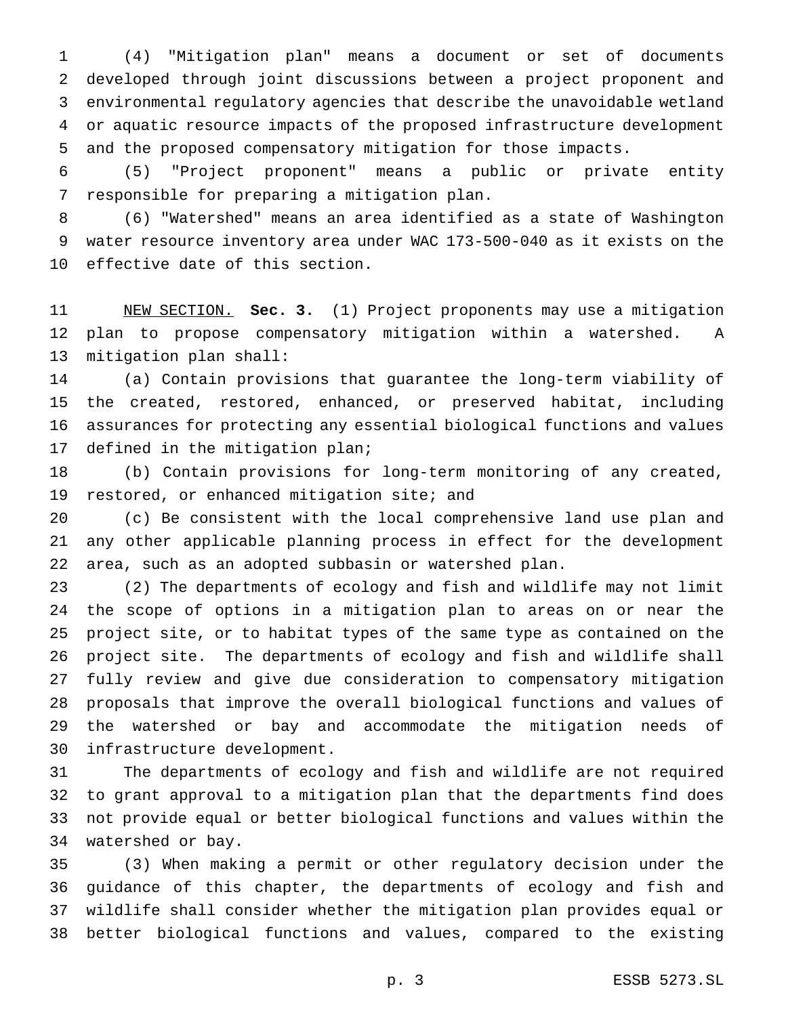(4) "Mitigation plan" means a document or set of documents developed through joint discussions between a project proponent and environmental regulatory agencies that describe the unavoidable wetland or aquatic resource impacts of the proposed infrastructure development and the proposed compensatory mitigation for those impacts.

 (5) "Project proponent" means a public or private entity responsible for preparing a mitigation plan.

 (6) "Watershed" means an area identified as a state of Washington water resource inventory area under WAC 173-500-040 as it exists on the effective date of this section.

 NEW SECTION. **Sec. 3.** (1) Project proponents may use a mitigation plan to propose compensatory mitigation within a watershed. A mitigation plan shall:

 (a) Contain provisions that guarantee the long-term viability of the created, restored, enhanced, or preserved habitat, including assurances for protecting any essential biological functions and values defined in the mitigation plan;

 (b) Contain provisions for long-term monitoring of any created, restored, or enhanced mitigation site; and

 (c) Be consistent with the local comprehensive land use plan and any other applicable planning process in effect for the development area, such as an adopted subbasin or watershed plan.

 (2) The departments of ecology and fish and wildlife may not limit the scope of options in a mitigation plan to areas on or near the project site, or to habitat types of the same type as contained on the project site. The departments of ecology and fish and wildlife shall fully review and give due consideration to compensatory mitigation proposals that improve the overall biological functions and values of the watershed or bay and accommodate the mitigation needs of infrastructure development.

 The departments of ecology and fish and wildlife are not required to grant approval to a mitigation plan that the departments find does not provide equal or better biological functions and values within the watershed or bay.

 (3) When making a permit or other regulatory decision under the guidance of this chapter, the departments of ecology and fish and wildlife shall consider whether the mitigation plan provides equal or better biological functions and values, compared to the existing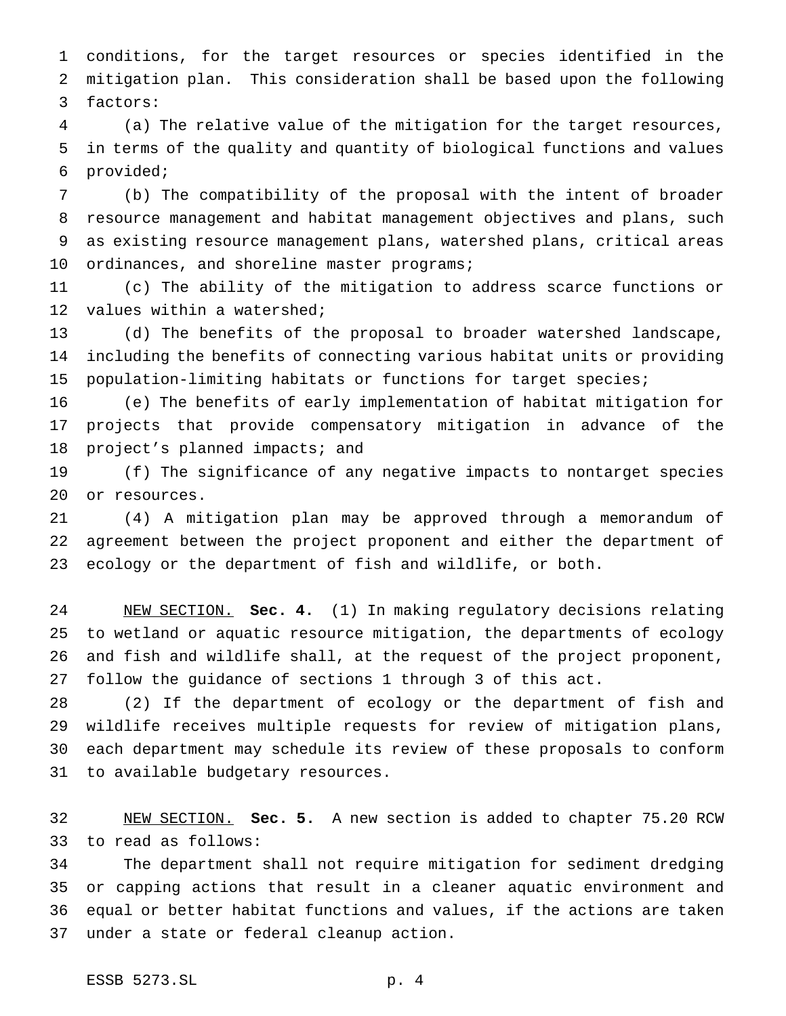conditions, for the target resources or species identified in the mitigation plan. This consideration shall be based upon the following factors:

 (a) The relative value of the mitigation for the target resources, in terms of the quality and quantity of biological functions and values provided;

 (b) The compatibility of the proposal with the intent of broader resource management and habitat management objectives and plans, such as existing resource management plans, watershed plans, critical areas 10 ordinances, and shoreline master programs;

 (c) The ability of the mitigation to address scarce functions or values within a watershed;

 (d) The benefits of the proposal to broader watershed landscape, including the benefits of connecting various habitat units or providing population-limiting habitats or functions for target species;

 (e) The benefits of early implementation of habitat mitigation for projects that provide compensatory mitigation in advance of the project's planned impacts; and

 (f) The significance of any negative impacts to nontarget species or resources.

 (4) A mitigation plan may be approved through a memorandum of agreement between the project proponent and either the department of ecology or the department of fish and wildlife, or both.

 NEW SECTION. **Sec. 4.** (1) In making regulatory decisions relating to wetland or aquatic resource mitigation, the departments of ecology and fish and wildlife shall, at the request of the project proponent, follow the guidance of sections 1 through 3 of this act.

 (2) If the department of ecology or the department of fish and wildlife receives multiple requests for review of mitigation plans, each department may schedule its review of these proposals to conform to available budgetary resources.

 NEW SECTION. **Sec. 5.** A new section is added to chapter 75.20 RCW to read as follows:

 The department shall not require mitigation for sediment dredging or capping actions that result in a cleaner aquatic environment and equal or better habitat functions and values, if the actions are taken under a state or federal cleanup action.